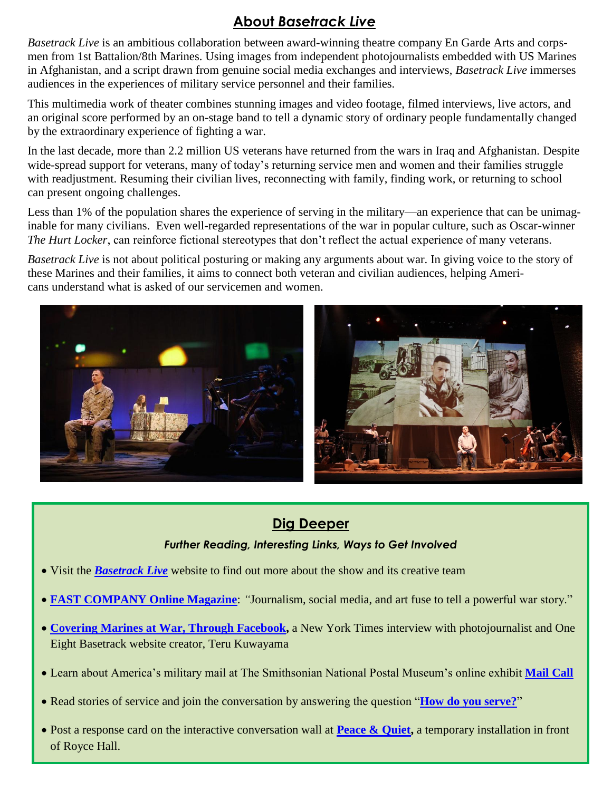# **About** *Basetrack Live*

*Basetrack Live* is an ambitious collaboration between award-winning theatre company En Garde Arts and corpsmen from 1st Battalion/8th Marines. Using images from independent photojournalists embedded with US Marines in Afghanistan, and a script drawn from genuine social media exchanges and interviews, *Basetrack Live* immerses audiences in the experiences of military service personnel and their families.

This multimedia work of theater combines stunning images and video footage, filmed interviews, live actors, and an original score performed by an on-stage band to tell a dynamic story of ordinary people fundamentally changed by the extraordinary experience of fighting a war.

In the last decade, more than 2.2 million US veterans have returned from the wars in Iraq and Afghanistan. Despite wide-spread support for veterans, many of today's returning service men and women and their families struggle with readjustment. Resuming their civilian lives, reconnecting with family, finding work, or returning to school can present ongoing challenges.

Less than 1% of the population shares the experience of serving in the military—an experience that can be unimaginable for many civilians. Even well-regarded representations of the war in popular culture, such as Oscar-winner *The Hurt Locker*, can reinforce fictional stereotypes that don't reflect the actual experience of many veterans.

*Basetrack Live* is not about political posturing or making any arguments about war. In giving voice to the story of these Marines and their families, it aims to connect both veteran and civilian audiences, helping Americans understand what is asked of our servicemen and women.



### **Dig Deeper**

#### *Further Reading, Interesting Links, Ways to Get Involved*

- Visit the *[Basetrack Live](http://basetracklive.com/)* website to find out more about the show and its creative team
- **[FAST COMPANY Online Magazine](http://www.fastcocreate.com/3035657/basetrack-combines-social-media-photography-and-music-to-translate-the-chaos-of-war-into-the?utm_source=mailchimp&utm_medium=email&utm_campaign=fast-company-daily-newsletter&position=3&partner=newsletter)**: *"*Journalism, social media, and art fuse to tell a powerful war story."
- **[Covering Marines at War, Through Facebook,](http://lens.blogs.nytimes.com/2010/12/21/covering-marines-at-war-through-facebook/?_php=true&_type=blogs&_php=true&_type=blogs&_r=1)** a New York Times interview with photojournalist and One Eight Basetrack website creator, Teru Kuwayama
- Learn about America's military mail at The Smithsonian National Postal Museum's online exhibit **[Mail Call](http://postalmuseum.si.edu/mailcall/)**
- Read stories of service and join the conversation by answering the question "**[How do you serve?](http://www.serviceis.tumblr.com/)**"
- Post a response card on the interactive conversation wall at **[Peace & Quiet,](http://cap.ucla.edu/calendar/details/peace_and_quiet)** a temporary installation in front of Royce Hall.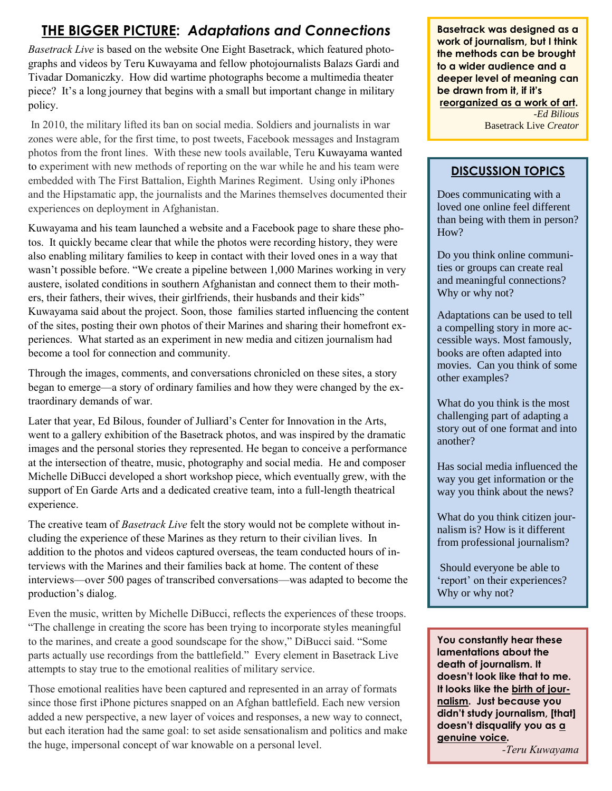# **THE BIGGER PICTURE:** *Adaptations and Connections*

*Basetrack Live* is based on the website One Eight Basetrack, which featured photographs and videos by Teru Kuwayama and fellow photojournalists Balazs Gardi and Tivadar Domaniczky. How did wartime photographs become a multimedia theater piece? It's a long journey that begins with a small but important change in military policy.

In 2010, the military lifted its ban on social media. Soldiers and journalists in war zones were able, for the first time, to post tweets, Facebook messages and Instagram photos from the front lines. With these new tools available, Teru Kuwayama wanted to experiment with new methods of reporting on the war while he and his team were embedded with The First Battalion, Eighth Marines Regiment. Using only iPhones and the Hipstamatic app, the journalists and the Marines themselves documented their experiences on deployment in Afghanistan.

Kuwayama and his team launched a website and a Facebook page to share these photos. It quickly became clear that while the photos were recording history, they were also enabling military families to keep in contact with their loved ones in a way that wasn't possible before. "We create a pipeline between 1,000 Marines working in very austere, isolated conditions in southern Afghanistan and connect them to their mothers, their fathers, their wives, their girlfriends, their husbands and their kids" Kuwayama said about the project. Soon, those families started influencing the content of the sites, posting their own photos of their Marines and sharing their homefront experiences. What started as an experiment in new media and citizen journalism had become a tool for connection and community.

Through the images, comments, and conversations chronicled on these sites, a story began to emerge—a story of ordinary families and how they were changed by the extraordinary demands of war.

Later that year, Ed Bilous, founder of Julliard's Center for Innovation in the Arts, went to a gallery exhibition of the Basetrack photos, and was inspired by the dramatic images and the personal stories they represented. He began to conceive a performance at the intersection of theatre, music, photography and social media. He and composer Michelle DiBucci developed a short workshop piece, which eventually grew, with the support of En Garde Arts and a dedicated creative team, into a full-length theatrical experience.

The creative team of *Basetrack Live* felt the story would not be complete without including the experience of these Marines as they return to their civilian lives. In addition to the photos and videos captured overseas, the team conducted hours of interviews with the Marines and their families back at home. The content of these interviews—over 500 pages of transcribed conversations—was adapted to become the production's dialog.

Even the music, written by Michelle DiBucci, reflects the experiences of these troops. "The challenge in creating the score has been trying to incorporate styles meaningful to the marines, and create a good soundscape for the show," DiBucci said. "Some parts actually use recordings from the battlefield." Every element in Basetrack Live attempts to stay true to the emotional realities of military service.

Those emotional realities have been captured and represented in an array of formats since those first iPhone pictures snapped on an Afghan battlefield. Each new version added a new perspective, a new layer of voices and responses, a new way to connect, but each iteration had the same goal: to set aside sensationalism and politics and make the huge, impersonal concept of war knowable on a personal level.

**Basetrack was designed as a work of journalism, but I think the methods can be brought to a wider audience and a deeper level of meaning can be drawn from it, if it's reorganized as a work of art.**

*-Ed Bilious* Basetrack Live *Creator*

#### **DISCUSSION TOPICS**

Does communicating with a loved one online feel different than being with them in person? How?

Do you think online communities or groups can create real and meaningful connections? Why or why not?

Adaptations can be used to tell a compelling story in more accessible ways. Most famously, books are often adapted into movies. Can you think of some other examples?

What do you think is the most challenging part of adapting a story out of one format and into another?

Has social media influenced the way you get information or the way you think about the news?

What do you think citizen journalism is? How is it different from professional journalism?

Should everyone be able to 'report' on their experiences? Why or why not?

**You constantly hear these lamentations about the death of journalism. It doesn't look like that to me. It looks like the birth of journalism. Just because you didn't study journalism, [that] doesn't disqualify you as a genuine voice***.*

*-Teru Kuwayama*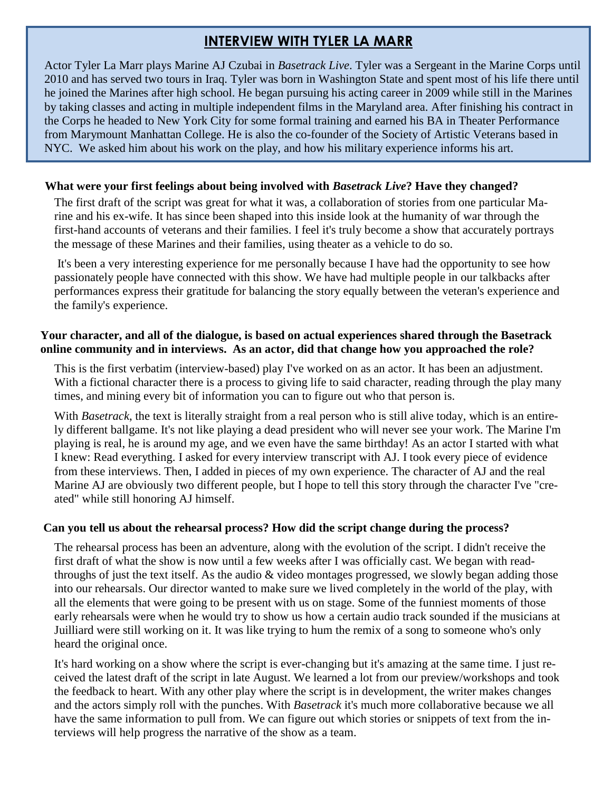## **INTERVIEW WITH TYLER LA MARR**

Actor Tyler La Marr plays Marine AJ Czubai in *Basetrack Live*. Tyler was a Sergeant in the Marine Corps until 2010 and has served two tours in Iraq. Tyler was born in Washington State and spent most of his life there until he joined the Marines after high school. He began pursuing his acting career in 2009 while still in the Marines by taking classes and acting in multiple independent films in the Maryland area. After finishing his contract in the Corps he headed to New York City for some formal training and earned his BA in Theater Performance from Marymount Manhattan College. He is also the co-founder of the Society of Artistic Veterans based in NYC. We asked him about his work on the play, and how his military experience informs his art.

#### **What were your first feelings about being involved with** *Basetrack Live***? Have they changed?**

The first draft of the script was great for what it was, a collaboration of stories from one particular Marine and his ex-wife. It has since been shaped into this inside look at the humanity of war through the first-hand accounts of veterans and their families. I feel it's truly become a show that accurately portrays the message of these Marines and their families, using theater as a vehicle to do so.

It's been a very interesting experience for me personally because I have had the opportunity to see how passionately people have connected with this show. We have had multiple people in our talkbacks after performances express their gratitude for balancing the story equally between the veteran's experience and the family's experience.

#### **Your character, and all of the dialogue, is based on actual experiences shared through the Basetrack online community and in interviews. As an actor, did that change how you approached the role?**

This is the first verbatim (interview-based) play I've worked on as an actor. It has been an adjustment. With a fictional character there is a process to giving life to said character, reading through the play many times, and mining every bit of information you can to figure out who that person is.

With *Basetrack*, the text is literally straight from a real person who is still alive today, which is an entirely different ballgame. It's not like playing a dead president who will never see your work. The Marine I'm playing is real, he is around my age, and we even have the same birthday! As an actor I started with what I knew: Read everything. I asked for every interview transcript with AJ. I took every piece of evidence from these interviews. Then, I added in pieces of my own experience. The character of AJ and the real Marine AJ are obviously two different people, but I hope to tell this story through the character I've "created" while still honoring AJ himself.

#### **Can you tell us about the rehearsal process? How did the script change during the process?**

The rehearsal process has been an adventure, along with the evolution of the script. I didn't receive the first draft of what the show is now until a few weeks after I was officially cast. We began with readthroughs of just the text itself. As the audio & video montages progressed, we slowly began adding those into our rehearsals. Our director wanted to make sure we lived completely in the world of the play, with all the elements that were going to be present with us on stage. Some of the funniest moments of those early rehearsals were when he would try to show us how a certain audio track sounded if the musicians at Juilliard were still working on it. It was like trying to hum the remix of a song to someone who's only heard the original once.

It's hard working on a show where the script is ever-changing but it's amazing at the same time. I just received the latest draft of the script in late August. We learned a lot from our preview/workshops and took the feedback to heart. With any other play where the script is in development, the writer makes changes and the actors simply roll with the punches. With *Basetrack* it's much more collaborative because we all have the same information to pull from. We can figure out which stories or snippets of text from the interviews will help progress the narrative of the show as a team.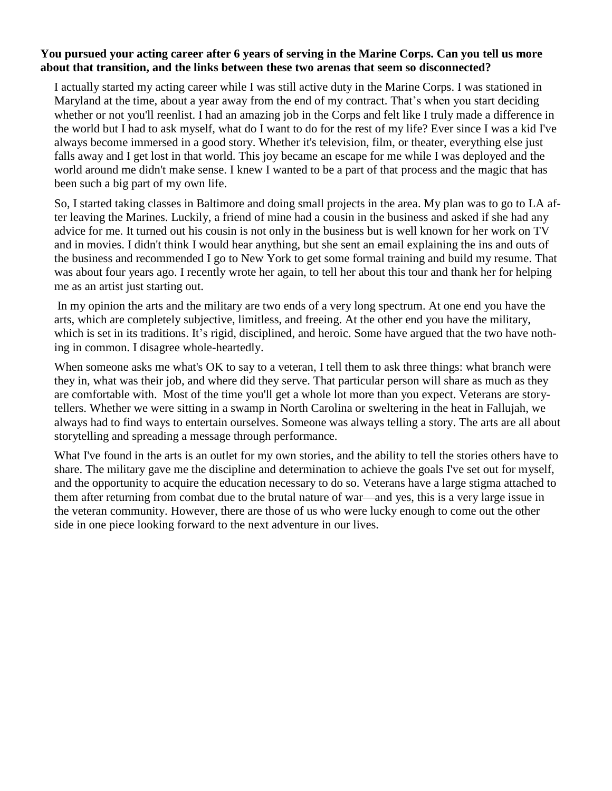#### **You pursued your acting career after 6 years of serving in the Marine Corps. Can you tell us more about that transition, and the links between these two arenas that seem so disconnected?**

I actually started my acting career while I was still active duty in the Marine Corps. I was stationed in Maryland at the time, about a year away from the end of my contract. That's when you start deciding whether or not you'll reenlist. I had an amazing job in the Corps and felt like I truly made a difference in the world but I had to ask myself, what do I want to do for the rest of my life? Ever since I was a kid I've always become immersed in a good story. Whether it's television, film, or theater, everything else just falls away and I get lost in that world. This joy became an escape for me while I was deployed and the world around me didn't make sense. I knew I wanted to be a part of that process and the magic that has been such a big part of my own life.

So, I started taking classes in Baltimore and doing small projects in the area. My plan was to go to LA after leaving the Marines. Luckily, a friend of mine had a cousin in the business and asked if she had any advice for me. It turned out his cousin is not only in the business but is well known for her work on TV and in movies. I didn't think I would hear anything, but she sent an email explaining the ins and outs of the business and recommended I go to New York to get some formal training and build my resume. That was about four years ago. I recently wrote her again, to tell her about this tour and thank her for helping me as an artist just starting out.

In my opinion the arts and the military are two ends of a very long spectrum. At one end you have the arts, which are completely subjective, limitless, and freeing. At the other end you have the military, which is set in its traditions. It's rigid, disciplined, and heroic. Some have argued that the two have nothing in common. I disagree whole-heartedly.

When someone asks me what's OK to say to a veteran, I tell them to ask three things: what branch were they in, what was their job, and where did they serve. That particular person will share as much as they are comfortable with. Most of the time you'll get a whole lot more than you expect. Veterans are storytellers. Whether we were sitting in a swamp in North Carolina or sweltering in the heat in Fallujah, we always had to find ways to entertain ourselves. Someone was always telling a story. The arts are all about storytelling and spreading a message through performance.

What I've found in the arts is an outlet for my own stories, and the ability to tell the stories others have to share. The military gave me the discipline and determination to achieve the goals I've set out for myself, and the opportunity to acquire the education necessary to do so. Veterans have a large stigma attached to them after returning from combat due to the brutal nature of war—and yes, this is a very large issue in the veteran community. However, there are those of us who were lucky enough to come out the other side in one piece looking forward to the next adventure in our lives.